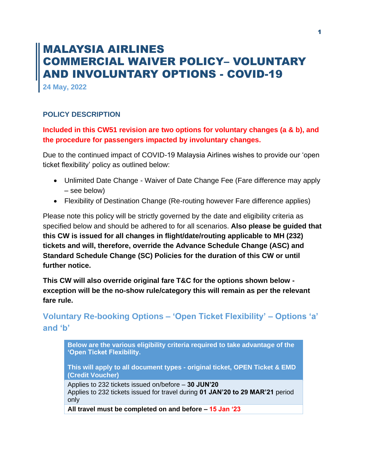# MALAYSIA AIRLINES COMMERCIAL WAIVER POLICY– VOLUNTARY AND INVOLUNTARY OPTIONS - COVID-19

**24 May, 2022**

#### **POLICY DESCRIPTION**

## **Included in this CW51 revision are two options for voluntary changes (a & b), and the procedure for passengers impacted by involuntary changes.**

Due to the continued impact of COVID-19 Malaysia Airlines wishes to provide our 'open ticket flexibility' policy as outlined below:

- Unlimited Date Change Waiver of Date Change Fee (Fare difference may apply – see below)
- Flexibility of Destination Change (Re-routing however Fare difference applies)

Please note this policy will be strictly governed by the date and eligibility criteria as specified below and should be adhered to for all scenarios. **Also please be guided that this CW is issued for all changes in flight/date/routing applicable to MH (232) tickets and will, therefore, override the Advance Schedule Change (ASC) and Standard Schedule Change (SC) Policies for the duration of this CW or until further notice.**

**This CW will also override original fare T&C for the options shown below exception will be the no-show rule/category this will remain as per the relevant fare rule.**

# **Voluntary Re-booking Options – 'Open Ticket Flexibility' – Options 'a' and 'b'**

**Below are the various eligibility criteria required to take advantage of the 'Open Ticket Flexibility.** 

**This will apply to all document types - original ticket, OPEN Ticket & EMD (Credit Voucher)**

Applies to 232 tickets issued on/before – **30 JUN'20** Applies to 232 tickets issued for travel during **01 JAN'20 to 29 MAR'21** period only

**All travel must be completed on and before – 15 Jan '23**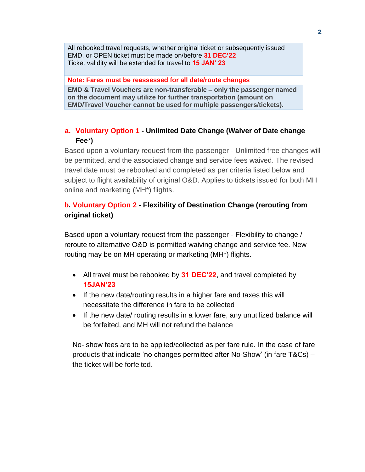All rebooked travel requests, whether original ticket or subsequently issued EMD, or OPEN ticket must be made on/before **31 DEC'22** Ticket validity will be extended for travel to **15 JAN' 23**

#### **Note: Fares must be reassessed for all date/route changes**

**EMD & Travel Vouchers are non-transferable – only the passenger named on the document may utilize for further transportation (amount on EMD/Travel Voucher cannot be used for multiple passengers/tickets).** 

## **a. Voluntary Option 1 - Unlimited Date Change (Waiver of Date change Fee**\***)**

Based upon a voluntary request from the passenger - Unlimited free changes will be permitted, and the associated change and service fees waived. The revised travel date must be rebooked and completed as per criteria listed below and subject to flight availability of original O&D. Applies to tickets issued for both MH online and marketing (MH\*) flights.

# **b. Voluntary Option 2 - Flexibility of Destination Change (rerouting from original ticket)**

Based upon a voluntary request from the passenger - Flexibility to change / reroute to alternative O&D is permitted waiving change and service fee. New routing may be on MH operating or marketing (MH\*) flights.

- All travel must be rebooked by **31 DEC'22**, and travel completed by **15JAN'23**
- If the new date/routing results in a higher fare and taxes this will necessitate the difference in fare to be collected
- If the new date/ routing results in a lower fare, any unutilized balance will be forfeited, and MH will not refund the balance

No- show fees are to be applied/collected as per fare rule. In the case of fare products that indicate 'no changes permitted after No-Show' (in fare T&Cs) – the ticket will be forfeited.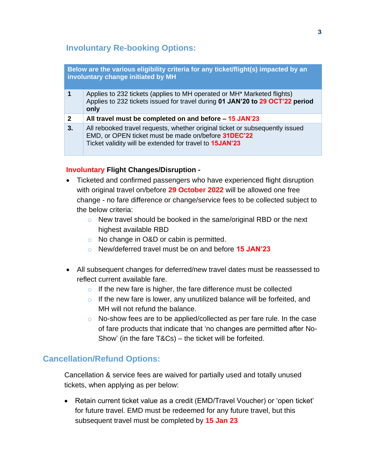# **Involuntary Re-booking Options:**

| Below are the various eligibility criteria for any ticket/flight(s) impacted by an<br>involuntary change initiated by MH |                                                                                                                                                                                                       |
|--------------------------------------------------------------------------------------------------------------------------|-------------------------------------------------------------------------------------------------------------------------------------------------------------------------------------------------------|
| 1                                                                                                                        | Applies to 232 tickets (applies to MH operated or MH <sup>*</sup> Marketed flights)<br>Applies to 232 tickets issued for travel during 01 JAN'20 to 29 OCT'22 period<br>only                          |
| $\mathbf{2}$                                                                                                             | All travel must be completed on and before $-15$ JAN'23                                                                                                                                               |
| 3.                                                                                                                       | All rebooked travel requests, whether original ticket or subsequently issued<br>EMD, or OPEN ticket must be made on/before 31DEC'22<br>Ticket validity will be extended for travel to <b>15JAN'23</b> |

#### **Involuntary Flight Changes/Disruption -**

- Ticketed and confirmed passengers who have experienced flight disruption with original travel on/before **29 October 2022** will be allowed one free change - no fare difference or change/service fees to be collected subject to the below criteria:
	- o New travel should be booked in the same/original RBD or the next highest available RBD
	- o No change in O&D or cabin is permitted.
	- o New/deferred travel must be on and before **15 JAN'23**
- All subsequent changes for deferred/new travel dates must be reassessed to reflect current available fare.
	- $\circ$  If the new fare is higher, the fare difference must be collected
	- $\circ$  If the new fare is lower, any unutilized balance will be forfeited, and MH will not refund the balance.
	- o No-show fees are to be applied/collected as per fare rule. In the case of fare products that indicate that 'no changes are permitted after No-Show' (in the fare T&Cs) – the ticket will be forfeited.

# **Cancellation/Refund Options:**

Cancellation & service fees are waived for partially used and totally unused tickets, when applying as per below:

• Retain current ticket value as a credit (EMD/Travel Voucher) or 'open ticket' for future travel. EMD must be redeemed for any future travel, but this subsequent travel must be completed by **15 Jan 23**